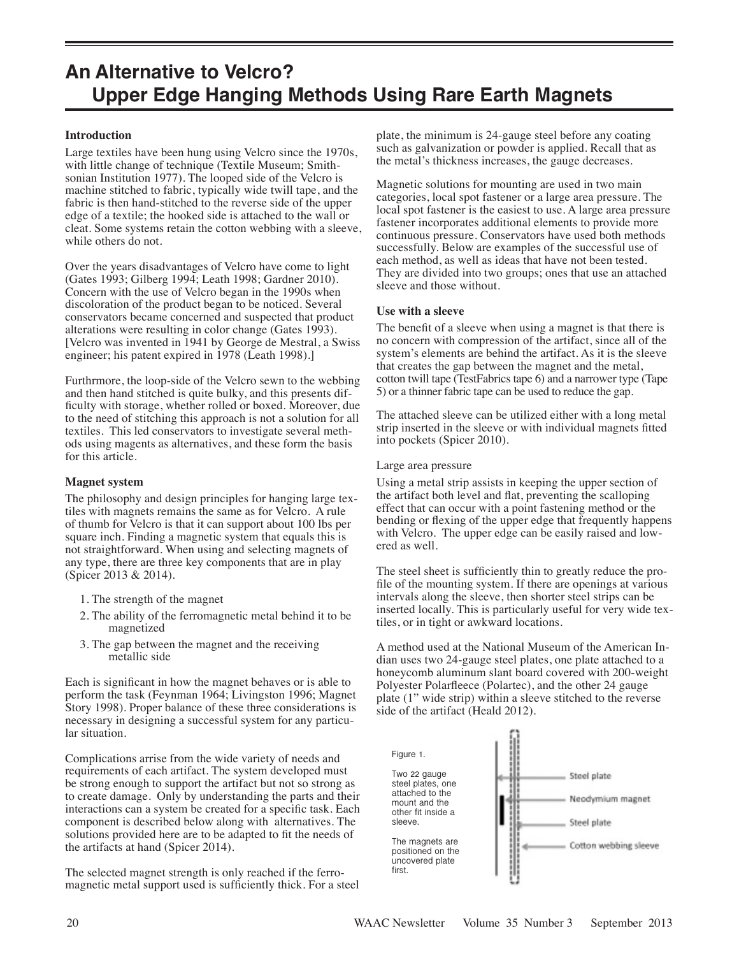# **An Alternative to Velcro? Upper Edge Hanging Methods Using Rare Earth Magnets**

#### **Introduction**

Large textiles have been hung using Velcro since the 1970s, with little change of technique (Textile Museum; Smithsonian Institution 1977). The looped side of the Velcro is machine stitched to fabric, typically wide twill tape, and the fabric is then hand-stitched to the reverse side of the upper edge of a textile; the hooked side is attached to the wall or cleat. Some systems retain the cotton webbing with a sleeve, while others do not.

Over the years disadvantages of Velcro have come to light (Gates 1993; Gilberg 1994; Leath 1998; Gardner 2010). Concern with the use of Velcro began in the 1990s when discoloration of the product began to be noticed. Several conservators became concerned and suspected that product alterations were resulting in color change (Gates 1993). [Velcro was invented in 1941 by George de Mestral, a Swiss engineer; his patent expired in 1978 (Leath 1998).]

Furthrmore, the loop-side of the Velcro sewn to the webbing and then hand stitched is quite bulky, and this presents difficulty with storage, whether rolled or boxed. Moreover, due to the need of stitching this approach is not a solution for all textiles. This led conservators to investigate several methods using magents as alternatives, and these form the basis for this article.

### **Magnet system**

The philosophy and design principles for hanging large textiles with magnets remains the same as for Velcro. A rule of thumb for Velcro is that it can support about 100 lbs per square inch. Finding a magnetic system that equals this is not straightforward. When using and selecting magnets of any type, there are three key components that are in play (Spicer 2013 & 2014).

- 1. The strength of the magnet
- 2. The ability of the ferromagnetic metal behind it to be magnetized
- 3. The gap between the magnet and the receiving metallic side

Each is significant in how the magnet behaves or is able to perform the task (Feynman 1964; Livingston 1996; Magnet Story 1998). Proper balance of these three considerations is necessary in designing a successful system for any particular situation.

Complications arrise from the wide variety of needs and requirements of each artifact. The system developed must be strong enough to support the artifact but not so strong as to create damage. Only by understanding the parts and their interactions can a system be created for a specific task. Each component is described below along with alternatives. The solutions provided here are to be adapted to fit the needs of the artifacts at hand (Spicer 2014).

The selected magnet strength is only reached if the ferromagnetic metal support used is sufficiently thick. For a steel plate, the minimum is 24-gauge steel before any coating such as galvanization or powder is applied. Recall that as the metal's thickness increases, the gauge decreases.

Magnetic solutions for mounting are used in two main categories, local spot fastener or a large area pressure. The local spot fastener is the easiest to use. A large area pressure fastener incorporates additional elements to provide more continuous pressure. Conservators have used both methods successfully. Below are examples of the successful use of each method, as well as ideas that have not been tested. They are divided into two groups; ones that use an attached sleeve and those without.

#### **Use with a sleeve**

The benefit of a sleeve when using a magnet is that there is no concern with compression of the artifact, since all of the system's elements are behind the artifact. As it is the sleeve that creates the gap between the magnet and the metal, cotton twill tape (TestFabrics tape 6) and a narrower type (Tape 5) or a thinner fabric tape can be used to reduce the gap.

The attached sleeve can be utilized either with a long metal strip inserted in the sleeve or with individual magnets fitted into pockets (Spicer 2010).

#### Large area pressure

Using a metal strip assists in keeping the upper section of the artifact both level and flat, preventing the scalloping effect that can occur with a point fastening method or the bending or flexing of the upper edge that frequently happens with Velcro. The upper edge can be easily raised and lowered as well.

The steel sheet is sufficiently thin to greatly reduce the profile of the mounting system. If there are openings at various intervals along the sleeve, then shorter steel strips can be inserted locally. This is particularly useful for very wide textiles, or in tight or awkward locations.

A method used at the National Museum of the American Indian uses two 24-gauge steel plates, one plate attached to a honeycomb aluminum slant board covered with 200-weight Polyester Polarfleece (Polartec), and the other 24 gauge plate (1" wide strip) within a sleeve stitched to the reverse side of the artifact (Heald 2012).

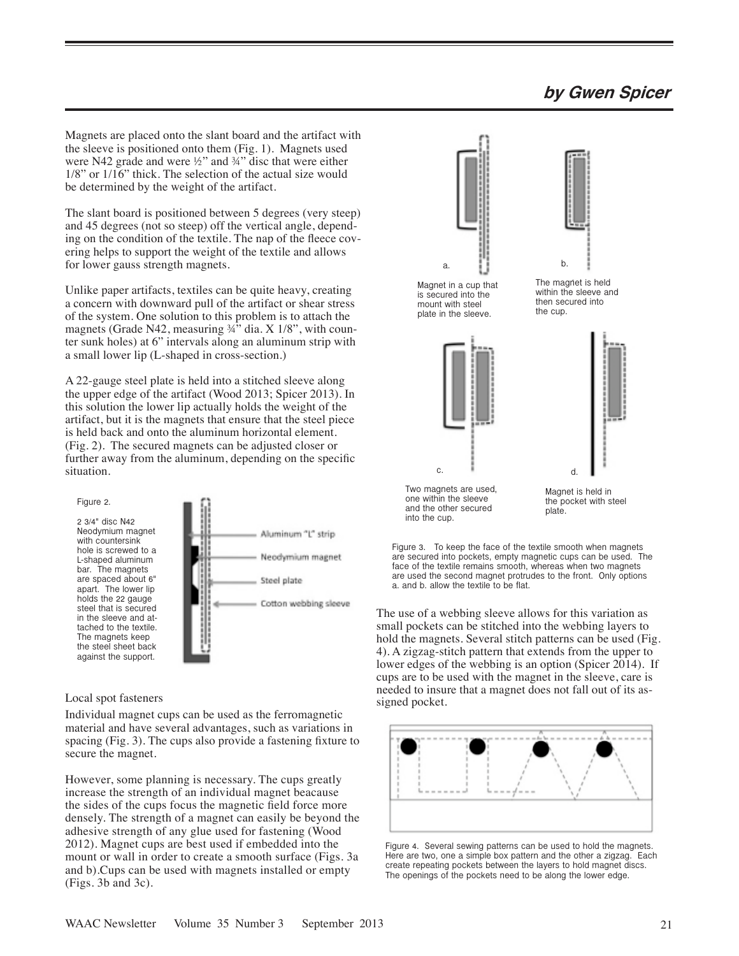## **by Gwen Spicer**

Magnets are placed onto the slant board and the artifact with the sleeve is positioned onto them (Fig. 1). Magnets used were N42 grade and were ½" and ¾" disc that were either 1/8" or 1/16" thick. The selection of the actual size would be determined by the weight of the artifact.

The slant board is positioned between 5 degrees (very steep) and 45 degrees (not so steep) off the vertical angle, depending on the condition of the textile. The nap of the fleece covering helps to support the weight of the textile and allows for lower gauss strength magnets.

Unlike paper artifacts, textiles can be quite heavy, creating a concern with downward pull of the artifact or shear stress of the system. One solution to this problem is to attach the magnets (Grade N42, measuring 34" dia. X 1/8", with counter sunk holes) at 6" intervals along an aluminum strip with a small lower lip (L-shaped in cross-section.)

A 22-gauge steel plate is held into a stitched sleeve along the upper edge of the artifact (Wood 2013; Spicer 2013). In this solution the lower lip actually holds the weight of the artifact, but it is the magnets that ensure that the steel piece is held back and onto the aluminum horizontal element. (Fig. 2). The secured magnets can be adjusted closer or further away from the aluminum, depending on the specific situation.



#### Local spot fasteners

Individual magnet cups can be used as the ferromagnetic material and have several advantages, such as variations in spacing (Fig. 3). The cups also provide a fastening fixture to secure the magnet.

However, some planning is necessary. The cups greatly increase the strength of an individual magnet beacause the sides of the cups focus the magnetic field force more densely. The strength of a magnet can easily be beyond the adhesive strength of any glue used for fastening (Wood 2012). Magnet cups are best used if embedded into the mount or wall in order to create a smooth surface (Figs. 3a and b).Cups can be used with magnets installed or empty (Figs. 3b and 3c).





The use of a webbing sleeve allows for this variation as small pockets can be stitched into the webbing layers to hold the magnets. Several stitch patterns can be used (Fig. 4). A zigzag-stitch pattern that extends from the upper to lower edges of the webbing is an option (Spicer 2014). If cups are to be used with the magnet in the sleeve, care is needed to insure that a magnet does not fall out of its as-<br>signed pocket.



Figure 4. Several sewing patterns can be used to hold the magnets. Here are two, one a simple box pattern and the other a zigzag. Each create repeating pockets between the layers to hold magnet discs. The openings of the pockets need to be along the lower edge.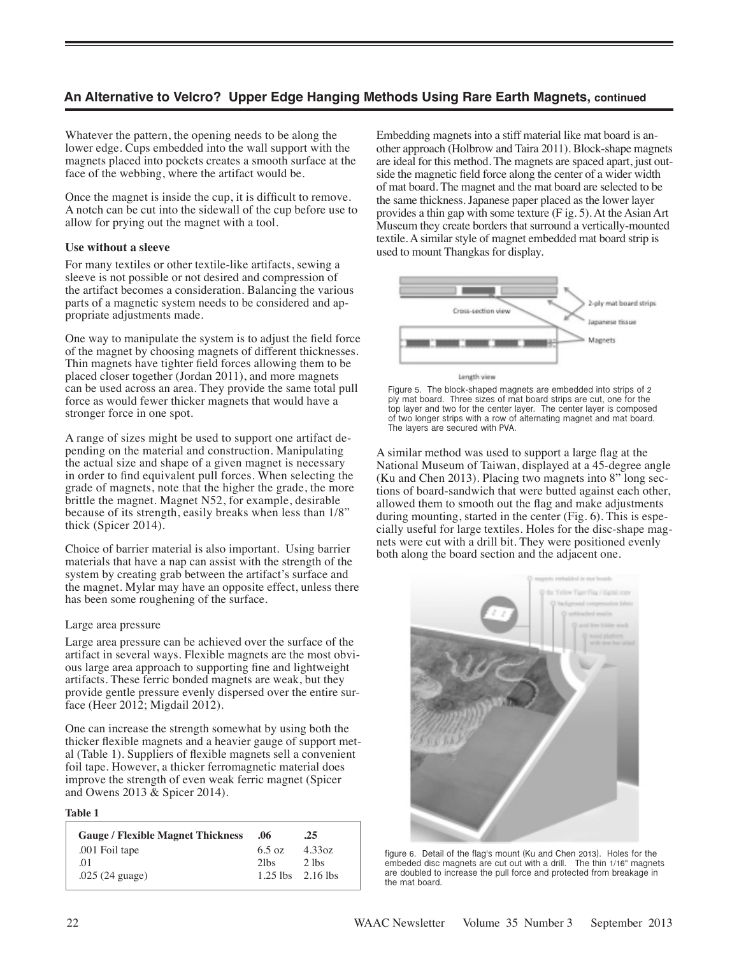## **An Alternative to Velcro? Upper Edge Hanging Methods Using Rare Earth Magnets, continued**

Whatever the pattern, the opening needs to be along the lower edge. Cups embedded into the wall support with the magnets placed into pockets creates a smooth surface at the face of the webbing, where the artifact would be.

Once the magnet is inside the cup, it is difficult to remove. A notch can be cut into the sidewall of the cup before use to allow for prying out the magnet with a tool.

#### **Use without a sleeve**

For many textiles or other textile-like artifacts, sewing a sleeve is not possible or not desired and compression of the artifact becomes a consideration. Balancing the various parts of a magnetic system needs to be considered and appropriate adjustments made.

One way to manipulate the system is to adjust the field force of the magnet by choosing magnets of different thicknesses. Thin magnets have tighter field forces allowing them to be placed closer together (Jordan 2011), and more magnets can be used across an area. They provide the same total pull force as would fewer thicker magnets that would have a stronger force in one spot.

A range of sizes might be used to support one artifact depending on the material and construction. Manipulating the actual size and shape of a given magnet is necessary in order to find equivalent pull forces. When selecting the grade of magnets, note that the higher the grade, the more brittle the magnet. Magnet N52, for example, desirable because of its strength, easily breaks when less than 1/8" thick (Spicer 2014).

Choice of barrier material is also important. Using barrier materials that have a nap can assist with the strength of the system by creating grab between the artifact's surface and the magnet. Mylar may have an opposite effect, unless there has been some roughening of the surface.

#### Large area pressure

Large area pressure can be achieved over the surface of the artifact in several ways. Flexible magnets are the most obvious large area approach to supporting fine and lightweight artifacts. These ferric bonded magnets are weak, but they provide gentle pressure evenly dispersed over the entire surface (Heer 2012; Migdail 2012).

One can increase the strength somewhat by using both the thicker flexible magnets and a heavier gauge of support metal (Table 1). Suppliers of flexible magnets sell a convenient foil tape. However, a thicker ferromagnetic material does improve the strength of even weak ferric magnet (Spicer and Owens 2013 & Spicer 2014).

#### **Table 1**

| <b>Gauge / Flexible Magnet Thickness</b> | .06     | .25                   |
|------------------------------------------|---------|-----------------------|
| .001 Foil tape                           | 6.5 oz  | 4.33oz                |
| $\Omega$                                 | $2$ lbs | $2$ lbs               |
| $.025(24)$ guage)                        |         | $1.25$ lbs $2.16$ lbs |

Embedding magnets into a stiff material like mat board is another approach (Holbrow and Taira 2011). Block-shape magnets are ideal for this method. The magnets are spaced apart, just outside the magnetic field force along the center of a wider width of mat board. The magnet and the mat board are selected to be the same thickness. Japanese paper placed as the lower layer provides a thin gap with some texture (F ig. 5). At the Asian Art Museum they create borders that surround a vertically-mounted textile. A similar style of magnet embedded mat board strip is used to mount Thangkas for display.





A similar method was used to support a large flag at the National Museum of Taiwan, displayed at a 45-degree angle (Ku and Chen 2013). Placing two magnets into 8" long sections of board-sandwich that were butted against each other, allowed them to smooth out the flag and make adjustments during mounting, started in the center (Fig. 6). This is especially useful for large textiles. Holes for the disc-shape magnets were cut with a drill bit. They were positioned evenly both along the board section and the adjacent one.



figure 6. Detail of the flag's mount (Ku and Chen 2013). Holes for the embeded disc magnets are cut out with a drill. The thin 1/16" magnets are doubled to increase the pull force and protected from breakage in the mat board.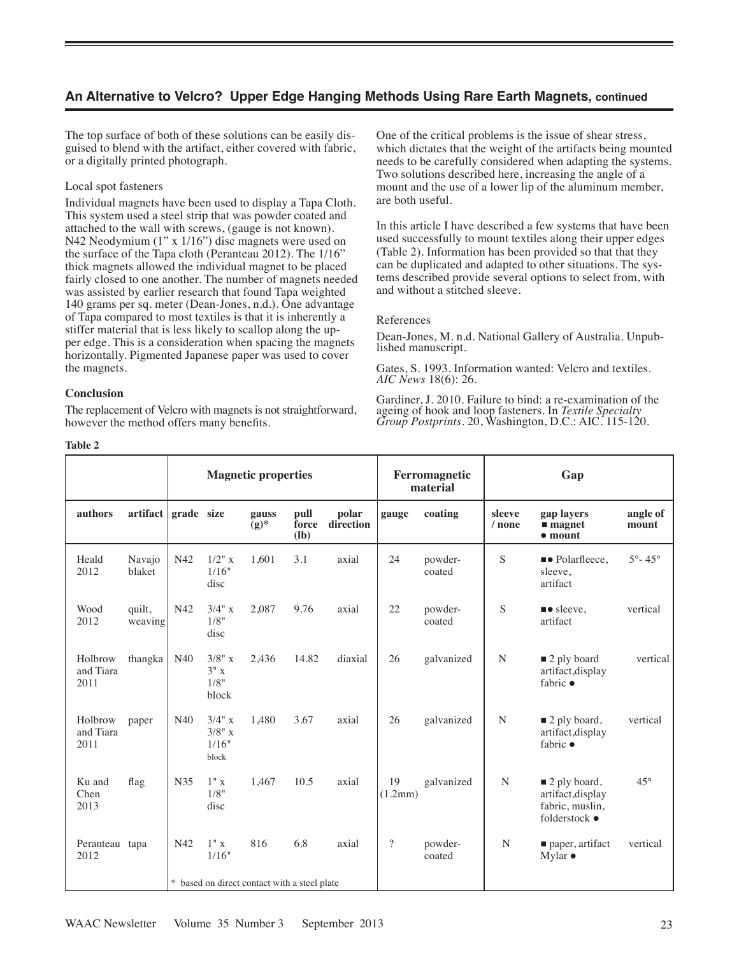## **An Alternative to Velcro? Upper Edge Hanging Methods Using Rare Earth Magnets, continued**

The top surface of both of these solutions can be easily disguised to blend with the artifact, either covered with fabric, or a digitally printed photograph.

#### Local spot fasteners

Individual magnets have been used to display a Tapa Cloth. This system used a steel strip that was powder coated and attached to the wall with screws, (gauge is not known). N42 Neodymium (1" x 1/16") disc magnets were used on the surface of the Tapa cloth (Peranteau 2012). The 1/16" thick magnets allowed the individual magnet to be placed fairly closed to one another. The number of magnets needed was assisted by earlier research that found Tapa weighted 140 grams per sq. meter (Dean-Jones, n.d.). One advantage of Tapa compared to most textiles is that it is inherently a stiffer material that is less likely to scallop along the upper edge. This is a consideration when spacing the magnets horizontally. Pigmented Japanese paper was used to cover the magnets.

#### **Conclusion**

The replacement of Velcro with magnets is not straightforward, however the method offers many benefits.

One of the critical problems is the issue of shear stress, which dictates that the weight of the artifacts being mounted needs to be carefully considered when adapting the systems. Two solutions described here, increasing the angle of a mount and the use of a lower lip of the aluminum member, are both useful.

In this article I have described a few systems that have been used successfully to mount textiles along their upper edges (Table 2). Information has been provided so that that they can be duplicated and adapted to other situations. The systems described provide several options to select from, with and without a stitched sleeve.

#### References

Dean-Jones, M. n.d. National Gallery of Australia. Unpub- lished manuscript.

Gates, S. 1993. Information wanted: Velcro and textiles. *AIC News* 18(6): 26.

Gardiner, J. 2010. Failure to bind: a re-examination of the ageing of hook and loop fasteners. In *Textile Specialty Group Postprints*. 20, Washington, D.C.: AIC. 115-120.

|                              |                   | <b>Magnetic properties</b>                   |                                      |                                 |                         |                    | Ferromagnetic<br>material |                   | Gap                |                                                                                      |                          |
|------------------------------|-------------------|----------------------------------------------|--------------------------------------|---------------------------------|-------------------------|--------------------|---------------------------|-------------------|--------------------|--------------------------------------------------------------------------------------|--------------------------|
| authors                      | artifact          | grade size                                   |                                      | gauss<br>$\bar{(\mathbf{g})}^*$ | pull<br>force<br>$(lb)$ | polar<br>direction | gauge                     | coating           | sleeve<br>$/$ none | gap layers<br>$\blacksquare$ magnet<br>$\bullet$ mount                               | angle of<br>mount        |
| Heald<br>2012                | Navajo<br>blaket  | N42                                          | $1/2$ " x<br>1/16"<br>disc           | 1.601                           | 3.1                     | axial              | 24                        | powder-<br>coated | S                  | • Polarfleece,<br>sleeve,<br>artifact                                                | $5^{\circ} - 45^{\circ}$ |
| Wood<br>2012                 | quilt,<br>weaving | N42                                          | 3/4" x<br>1/8"<br>disc               | 2,087                           | 9.76                    | axial              | 22                        | powder-<br>coated | S                  | $\bullet$ sleeve,<br>artifact                                                        | vertical                 |
| Holbrow<br>and Tiara<br>2011 | thangka           | N40                                          | 3/8" x<br>3"x<br>1/8"<br>block       | 2,436                           | 14.82                   | diaxial            | 26                        | galvanized        | $\mathbf N$        | $\blacksquare$ 2 ply board<br>artifact, display<br>fabric $\bullet$                  | vertical                 |
| Holbrow<br>and Tiara<br>2011 | paper             | N40                                          | $3/4"$ x<br>3/8" x<br>1/16"<br>block | 1,480                           | 3.67                    | axial              | 26                        | galvanized        | N                  | $\blacksquare$ 2 ply board,<br>artifact, display<br>fabric $\bullet$                 | vertical                 |
| Ku and<br>Chen<br>2013       | flag              | N35                                          | 1"x<br>1/8"<br>disc                  | 1,467                           | 10.5                    | axial              | 19<br>(1.2mm)             | galvanized        | $\mathbf N$        | $\blacksquare$ 2 ply board,<br>artifact, display<br>fabric, muslin,<br>folderstock ● | $45^{\circ}$             |
| Peranteau<br>2012            | tapa              | N42                                          | 1"x<br>1/16"                         | 816                             | 6.8                     | axial              | $\overline{\cdot}$        | powder-<br>coated | N                  | paper, artifact<br>Mylar $\bullet$                                                   | vertical                 |
|                              |                   | * based on direct contact with a steel plate |                                      |                                 |                         |                    |                           |                   |                    |                                                                                      |                          |

#### **Table 2**